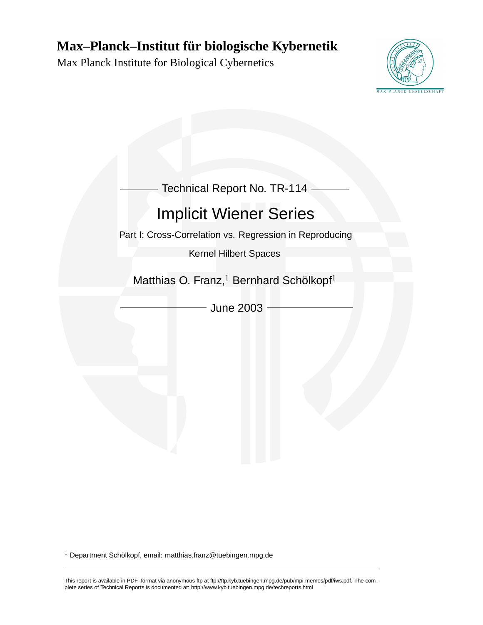# **Max–Planck–Institut fur biologische Kybernetik ¨**

Max Planck Institute for Biological Cybernetics



| Technical Report No. TR-114                                     |
|-----------------------------------------------------------------|
| <b>Implicit Wiener Series</b>                                   |
| Part I: Cross-Correlation vs. Regression in Reproducing         |
| <b>Kernel Hilbert Spaces</b>                                    |
|                                                                 |
| Matthias O. Franz, <sup>1</sup> Bernhard Schölkopf <sup>1</sup> |
| <b>June 2003</b>                                                |
|                                                                 |
|                                                                 |
|                                                                 |
|                                                                 |
|                                                                 |
|                                                                 |

 $1$  Department Schölkopf, email: matthias.franz@tuebingen.mpg.de

This report is available in PDF–format via anonymous ftp at ftp://ftp.kyb.tuebingen.mpg.de/pub/mpi-memos/pdf/iws.pdf. The complete series of Technical Reports is documented at: http://www.kyb.tuebingen.mpg.de/techreports.html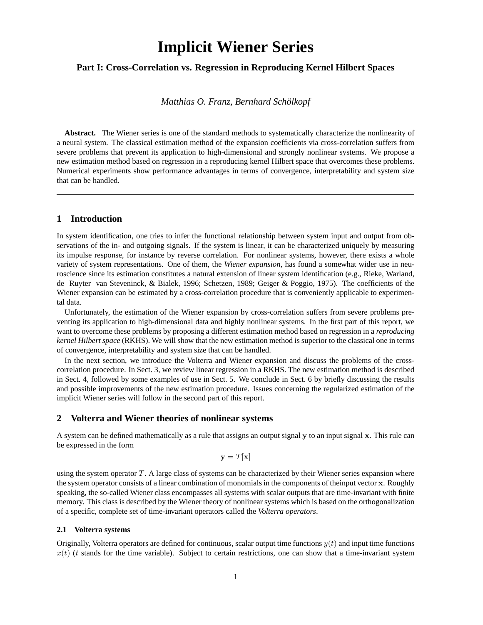# **Implicit Wiener Series**

## **Part I: Cross-Correlation vs. Regression in Reproducing Kernel Hilbert Spaces**

*Matthias O. Franz, Bernhard Scholkopf ¨*

**Abstract.** The Wiener series is one of the standard methods to systematically characterize the nonlinearity of a neural system. The classical estimation method of the expansion coefficients via cross-correlation suffers from severe problems that prevent its application to high-dimensional and strongly nonlinear systems. We propose a new estimation method based on regression in a reproducing kernel Hilbert space that overcomes these problems. Numerical experiments show performance advantages in terms of convergence, interpretability and system size that can be handled.

## **1 Introduction**

In system identification, one tries to infer the functional relationship between system input and output from observations of the in- and outgoing signals. If the system is linear, it can be characterized uniquely by measuring its impulse response, for instance by reverse correlation. For nonlinear systems, however, there exists a whole variety of system representations. One of them, the *Wiener expansion*, has found a somewhat wider use in neuroscience since its estimation constitutes a natural extension of linear system identification (e.g., Rieke, Warland, de Ruyter van Steveninck, & Bialek, 1996; Schetzen, 1989; Geiger & Poggio, 1975). The coefficients of the Wiener expansion can be estimated by a cross-correlation procedure that is conveniently applicable to experimental data.

Unfortunately, the estimation of the Wiener expansion by cross-correlation suffers from severe problems preventing its application to high-dimensional data and highly nonlinear systems. In the first part of this report, we want to overcome these problems by proposing a different estimation method based on regression in a *reproducing kernel Hilbert space* (RKHS). We will show that the new estimation method is superior to the classical one in terms of convergence, interpretability and system size that can be handled.

In the next section, we introduce the Volterra and Wiener expansion and discuss the problems of the crosscorrelation procedure. In Sect. 3, we review linear regression in a RKHS. The new estimation method is described in Sect. 4, followed by some examples of use in Sect. 5. We conclude in Sect. 6 by briefly discussing the results and possible improvements of the new estimation procedure. Issues concerning the regularized estimation of the implicit Wiener series will follow in the second part of this report.

## **2 Volterra and Wiener theories of nonlinear systems**

A system can be defined mathematically as a rule that assigns an output signal  $\bf{v}$  to an input signal  $\bf{x}$ . This rule can be expressed in the form

$$
\mathbf{y} = T[\mathbf{x}]
$$

using the system operator  $T$ . A large class of systems can be characterized by their Wiener series expansion where the system operator consists of a linear combination of monomials in the components of theinput vector x. Roughly speaking, the so-called Wiener class encompasses all systems with scalar outputs that are time-invariant with finite memory. This class is described by the Wiener theory of nonlinear systems which is based on the orthogonalization of a specific, complete set of time-invariant operators called the *Volterra operators*.

#### **2.1 Volterra systems**

Originally, Volterra operators are defined for continuous, scalar output time functions  $y(t)$  and input time functions  $x(t)$  (t stands for the time variable). Subject to certain restrictions, one can show that a time-invariant system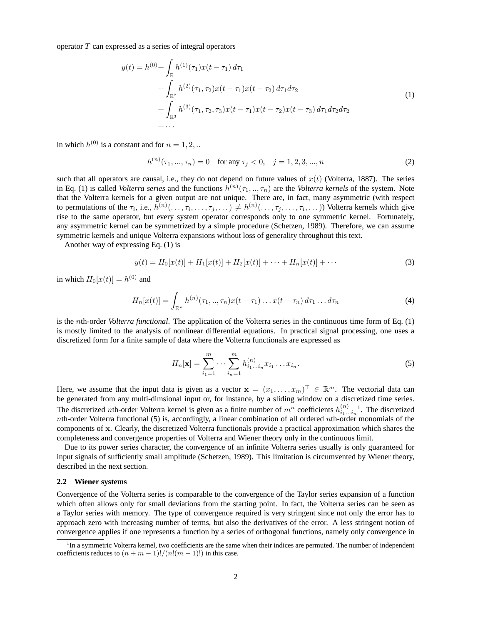operator  $T$  can expressed as a series of integral operators

$$
y(t) = h^{(0)} + \int_{\mathbb{R}} h^{(1)}(\tau_1) x(t - \tau_1) d\tau_1
$$
  
+ 
$$
\int_{\mathbb{R}^2} h^{(2)}(\tau_1, \tau_2) x(t - \tau_1) x(t - \tau_2) d\tau_1 d\tau_2
$$
  
+ 
$$
\int_{\mathbb{R}^3} h^{(3)}(\tau_1, \tau_2, \tau_3) x(t - \tau_1) x(t - \tau_2) x(t - \tau_3) d\tau_1 d\tau_2 d\tau_2
$$
  
+ ... (1)

in which  $h^{(0)}$  is a constant and for  $n = 1, 2, ...$ 

$$
h^{(n)}(\tau_1, ..., \tau_n) = 0 \quad \text{for any } \tau_j < 0, \quad j = 1, 2, 3, ..., n \tag{2}
$$

such that all operators are causal, i.e., they do not depend on future values of  $x(t)$  (Volterra, 1887). The series in Eq. (1) is called *Volterra series* and the functions  $h^{(n)}(\tau_1, ..., \tau_n)$  are the *Volterra kernels* of the system. Note that the Volterra kernels for a given output are not unique. There are, in fact, many asymmetric (with respect to permutations of the  $\tau_i$ , i.e.,  $h^{(n)}(\ldots,\tau_i,\ldots,\tau_j,\ldots) \neq h^{(n)}(\ldots,\tau_j,\ldots,\tau_i,\ldots)$ ) Volterra kernels which give rise to the same operator, but every system operator corresponds only to one symmetric kernel. Fortunately, any asymmetric kernel can be symmetrized by a simple procedure (Schetzen, 1989). Therefore, we can assume symmetric kernels and unique Volterra expansions without loss of generality throughout this text.

Another way of expressing Eq. (1) is

$$
y(t) = H_0[x(t)] + H_1[x(t)] + H_2[x(t)] + \dots + H_n[x(t)] + \dots
$$
\n(3)

in which  $H_0[x(t)] = h^{(0)}$  and

$$
H_n[x(t)] = \int_{\mathbb{R}^n} h^{(n)}(\tau_1, \ldots, \tau_n) x(t - \tau_1) \ldots x(t - \tau_n) d\tau_1 \ldots d\tau_n \tag{4}
$$

is the nth-order *Volterra functional*. The application of the Volterra series in the continuous time form of Eq. (1) is mostly limited to the analysis of nonlinear differential equations. In practical signal processing, one uses a discretized form for a finite sample of data where the Volterra functionals are expressed as

$$
H_n[\mathbf{x}] = \sum_{i_1=1}^m \cdots \sum_{i_n=1}^m h_{i_1 \dots i_n}^{(n)} x_{i_1} \dots x_{i_n}.
$$
 (5)

Here, we assume that the input data is given as a vector  $\mathbf{x} = (x_1, \dots, x_m)^\top \in \mathbb{R}^m$ . The vectorial data can be generated from any multi-dimsional input or, for instance, by a sliding window on a discretized time series. The discretized *n*th-order Volterra kernel is given as a finite number of  $m^n$  coefficients  $h_{i_1...i_n}^{(n)}$ <sup>1</sup>. The discretized nth-order Volterra functional  $(5)$  is, accordingly, a linear combination of all ordered nth-order monomials of the components of x. Clearly, the discretized Volterra functionals provide a practical approximation which shares the completeness and convergence properties of Volterra and Wiener theory only in the continuous limit.

Due to its power series character, the convergence of an infinite Volterra series usually is only guaranteed for input signals of sufficiently small amplitude (Schetzen, 1989). This limitation is circumvented by Wiener theory, described in the next section.

#### **2.2 Wiener systems**

Convergence of the Volterra series is comparable to the convergence of the Taylor series expansion of a function which often allows only for small deviations from the starting point. In fact, the Volterra series can be seen as a Taylor series with memory. The type of convergence required is very stringent since not only the error has to approach zero with increasing number of terms, but also the derivatives of the error. A less stringent notion of convergence applies if one represents a function by a series of orthogonal functions, namely only convergence in

<sup>&</sup>lt;sup>1</sup>In a symmetric Volterra kernel, two coefficients are the same when their indices are permuted. The number of independent coefficients reduces to  $(n + m - 1)!/(n!(m - 1)!)$  in this case.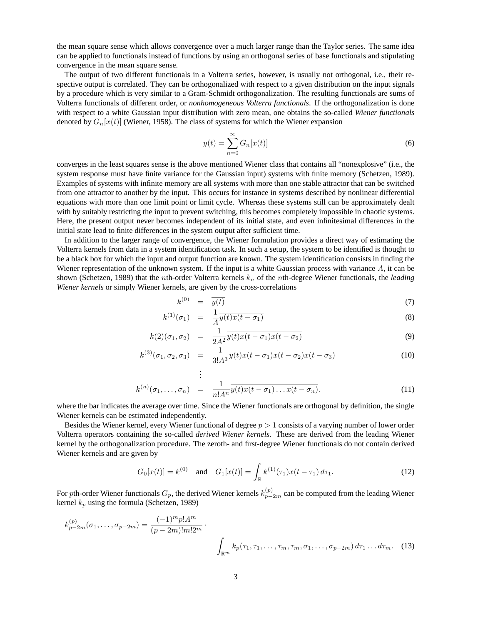the mean square sense which allows convergence over a much larger range than the Taylor series. The same idea can be applied to functionals instead of functions by using an orthogonal series of base functionals and stipulating convergence in the mean square sense.

The output of two different functionals in a Volterra series, however, is usually not orthogonal, i.e., their respective output is correlated. They can be orthogonalized with respect to a given distribution on the input signals by a procedure which is very similar to a Gram-Schmidt orthogonalization. The resulting functionals are sums of Volterra functionals of different order, or *nonhomogeneous Volterra functionals*. If the orthogonalization is done with respect to a white Gaussian input distribution with zero mean, one obtains the so-called *Wiener functionals* denoted by  $G_n[x(t)]$  (Wiener, 1958). The class of systems for which the Wiener expansion

$$
y(t) = \sum_{n=0}^{\infty} G_n[x(t)]
$$
 (6)

converges in the least squares sense is the above mentioned Wiener class that contains all "nonexplosive" (i.e., the system response must have finite variance for the Gaussian input) systems with finite memory (Schetzen, 1989). Examples of systems with infinite memory are all systems with more than one stable attractor that can be switched from one attractor to another by the input. This occurs for instance in systems described by nonlinear differential equations with more than one limit point or limit cycle. Whereas these systems still can be approximately dealt with by suitably restricting the input to prevent switching, this becomes completely impossible in chaotic systems. Here, the present output never becomes independent of its initial state, and even infinitesimal differences in the initial state lead to finite differences in the system output after sufficient time.

In addition to the larger range of convergence, the Wiener formulation provides a direct way of estimating the Volterra kernels from data in a system identification task. In such a setup, the system to be identified is thought to be a black box for which the input and output function are known. The system identification consists in finding the Wiener representation of the unknown system. If the input is a white Gaussian process with variance A, it can be shown (Schetzen, 1989) that the *n*th-order Volterra kernels  $k_n$  of the *n*th-degree Wiener functionals, the *leading Wiener kernels* or simply Wiener kernels, are given by the cross-correlations

$$
k^{(0)} = \overline{y(t)} \tag{7}
$$

$$
k^{(1)}(\sigma_1) = \frac{1}{A}\overline{y(t)x(t-\sigma_1)}
$$
\n(8)

$$
k(2)(\sigma_1, \sigma_2) = \frac{1}{2A^2} \overline{y(t)x(t-\sigma_1)x(t-\sigma_2)}
$$
\n(9)

$$
k^{(3)}(\sigma_1, \sigma_2, \sigma_3) = \frac{1}{3!A^3} \overline{y(t)x(t-\sigma_1)x(t-\sigma_2)x(t-\sigma_3)}
$$
(10)

$$
\vdots
$$
\n
$$
k^{(n)}(\sigma_1, \ldots, \sigma_n) = \frac{1}{n! A^n} \overline{y(t)x(t - \sigma_1) \ldots x(t - \sigma_n)}.
$$
\n(11)

where the bar indicates the average over time. Since the Wiener functionals are orthogonal by definition, the single Wiener kernels can be estimated independently.

Besides the Wiener kernel, every Wiener functional of degree  $p > 1$  consists of a varying number of lower order Volterra operators containing the so-called *derived Wiener kernels*. These are derived from the leading Wiener kernel by the orthogonalization procedure. The zeroth- and first-degree Wiener functionals do not contain derived Wiener kernels and are given by

$$
G_0[x(t)] = k^{(0)} \quad \text{and} \quad G_1[x(t)] = \int_{\mathbb{R}} k^{(1)}(\tau_1) x(t - \tau_1) \, d\tau_1. \tag{12}
$$

For pth-order Wiener functionals  $G_p$ , the derived Wiener kernels  $k_{p-2m}^{(p)}$  can be computed from the leading Wiener kernel  $k_p$  using the formula (Schetzen, 1989)

$$
k_{p-2m}^{(p)}(\sigma_1, \ldots, \sigma_{p-2m}) = \frac{(-1)^m p! A^m}{(p-2m)! m! 2^m} \cdot \int_{\mathbb{R}^m} k_p(\tau_1, \tau_1, \ldots, \tau_m, \tau_m, \sigma_1, \ldots, \sigma_{p-2m}) d\tau_1 \ldots d\tau_m.
$$
 (13)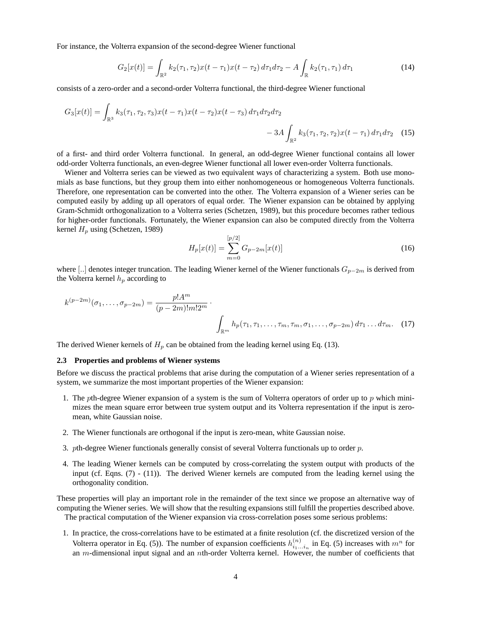For instance, the Volterra expansion of the second-degree Wiener functional

$$
G_2[x(t)] = \int_{\mathbb{R}^2} k_2(\tau_1, \tau_2) x(t - \tau_1) x(t - \tau_2) d\tau_1 d\tau_2 - A \int_{\mathbb{R}} k_2(\tau_1, \tau_1) d\tau_1 \tag{14}
$$

consists of a zero-order and a second-order Volterra functional, the third-degree Wiener functional

$$
G_3[x(t)] = \int_{\mathbb{R}^3} k_3(\tau_1, \tau_2, \tau_3) x(t - \tau_1) x(t - \tau_2) x(t - \tau_3) d\tau_1 d\tau_2 d\tau_2
$$
  
- 3A  $\int_{\mathbb{R}^2} k_3(\tau_1, \tau_2, \tau_2) x(t - \tau_1) d\tau_1 d\tau_2$  (15)

of a first- and third order Volterra functional. In general, an odd-degree Wiener functional contains all lower odd-order Volterra functionals, an even-degree Wiener functional all lower even-order Volterra functionals.

Wiener and Volterra series can be viewed as two equivalent ways of characterizing a system. Both use monomials as base functions, but they group them into either nonhomogeneous or homogeneous Volterra functionals. Therefore, one representation can be converted into the other. The Volterra expansion of a Wiener series can be computed easily by adding up all operators of equal order. The Wiener expansion can be obtained by applying Gram-Schmidt orthogonalization to a Volterra series (Schetzen, 1989), but this procedure becomes rather tedious for higher-order functionals. Fortunately, the Wiener expansion can also be computed directly from the Volterra kernel  $H_p$  using (Schetzen, 1989)

$$
H_p[x(t)] = \sum_{m=0}^{[p/2]} G_{p-2m}[x(t)]
$$
\n(16)

where [..] denotes integer truncation. The leading Wiener kernel of the Wiener functionals  $G_{p-2m}$  is derived from the Volterra kernel  $h_p$  according to

$$
k^{(p-2m)}(\sigma_1, \ldots, \sigma_{p-2m}) = \frac{p! A^m}{(p-2m)! m! 2^m} \cdot \int_{\mathbb{R}^m} h_p(\tau_1, \tau_1, \ldots, \tau_m, \tau_m, \sigma_1, \ldots, \sigma_{p-2m}) d\tau_1 \ldots d\tau_m.
$$
 (17)

The derived Wiener kernels of  $H_p$  can be obtained from the leading kernel using Eq. (13).

#### **2.3 Properties and problems of Wiener systems**

Before we discuss the practical problems that arise during the computation of a Wiener series representation of a system, we summarize the most important properties of the Wiener expansion:

- 1. The pth-degree Wiener expansion of a system is the sum of Volterra operators of order up to  $p$  which minimizes the mean square error between true system output and its Volterra representation if the input is zeromean, white Gaussian noise.
- 2. The Wiener functionals are orthogonal if the input is zero-mean, white Gaussian noise.
- 3. pth-degree Wiener functionals generally consist of several Volterra functionals up to order  $p$ .
- 4. The leading Wiener kernels can be computed by cross-correlating the system output with products of the input (cf. Eqns. (7) - (11)). The derived Wiener kernels are computed from the leading kernel using the orthogonality condition.

These properties will play an important role in the remainder of the text since we propose an alternative way of computing the Wiener series. We will show that the resulting expansions still fulfill the properties described above.

The practical computation of the Wiener expansion via cross-correlation poses some serious problems:

1. In practice, the cross-correlations have to be estimated at a finite resolution (cf. the discretized version of the Volterra operator in Eq. (5)). The number of expansion coefficients  $h_{i_1...i_n}^{(n)}$  in Eq. (5) increases with  $m^n$  for an m-dimensional input signal and an nth-order Volterra kernel. However, the number of coefficients that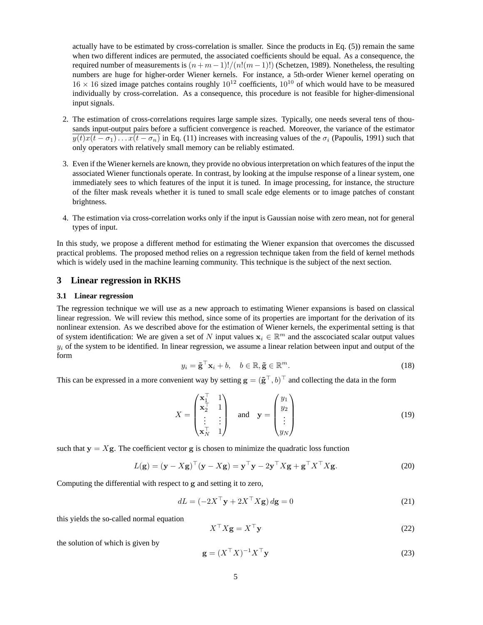actually have to be estimated by cross-correlation is smaller. Since the products in Eq. (5)) remain the same when two different indices are permuted, the associated coefficients should be equal. As a consequence, the required number of measurements is  $(n + m - 1)!/(n!(m - 1)!)$  (Schetzen, 1989). Nonetheless, the resulting numbers are huge for higher-order Wiener kernels. For instance, a 5th-order Wiener kernel operating on  $16 \times 16$  sized image patches contains roughly  $10^{12}$  coefficients,  $10^{10}$  of which would have to be measured individually by cross-correlation. As a consequence, this procedure is not feasible for higher-dimensional input signals.

- 2. The estimation of cross-correlations requires large sample sizes. Typically, one needs several tens of thousands input-output pairs before a sufficient convergence is reached. Moreover, the variance of the estimator  $y(t)x(t - \sigma_1)\dots x(t - \sigma_n)$  in Eq. (11) increases with increasing values of the  $\sigma_i$  (Papoulis, 1991) such that only operators with relatively small memory can be reliably estimated.
- 3. Even if the Wiener kernels are known, they provide no obvious interpretation on which features of the input the associated Wiener functionals operate. In contrast, by looking at the impulse response of a linear system, one immediately sees to which features of the input it is tuned. In image processing, for instance, the structure of the filter mask reveals whether it is tuned to small scale edge elements or to image patches of constant brightness.
- 4. The estimation via cross-correlation works only if the input is Gaussian noise with zero mean, not for general types of input.

In this study, we propose a different method for estimating the Wiener expansion that overcomes the discussed practical problems. The proposed method relies on a regression technique taken from the field of kernel methods which is widely used in the machine learning community. This technique is the subject of the next section.

## **3 Linear regression in RKHS**

#### **3.1 Linear regression**

The regression technique we will use as a new approach to estimating Wiener expansions is based on classical linear regression. We will review this method, since some of its properties are important for the derivation of its nonlinear extension. As we described above for the estimation of Wiener kernels, the experimental setting is that of system identification: We are given a set of N input values  $x_i \in \mathbb{R}^m$  and the asscociated scalar output values  $y_i$  of the system to be identified. In linear regression, we assume a linear relation between input and output of the form

$$
y_i = \tilde{\mathbf{g}}^\top \mathbf{x}_i + b, \quad b \in \mathbb{R}, \tilde{\mathbf{g}} \in \mathbb{R}^m.
$$
 (18)

This can be expressed in a more convenient way by setting  $\mathbf{g} = (\tilde{\mathbf{g}}^\top, b)^\top$  and collecting the data in the form

$$
X = \begin{pmatrix} \mathbf{x}_1^{\top} & 1 \\ \mathbf{x}_2^{\top} & 1 \\ \vdots & \vdots \\ \mathbf{x}_N^{\top} & 1 \end{pmatrix} \quad \text{and} \quad \mathbf{y} = \begin{pmatrix} y_1 \\ y_2 \\ \vdots \\ y_N \end{pmatrix} \tag{19}
$$

such that  $y = Xg$ . The coefficient vector g is chosen to minimize the quadratic loss function

$$
L(\mathbf{g}) = (\mathbf{y} - X\mathbf{g})^{\top}(\mathbf{y} - X\mathbf{g}) = \mathbf{y}^{\top}\mathbf{y} - 2\mathbf{y}^{\top}X\mathbf{g} + \mathbf{g}^{\top}X^{\top}X\mathbf{g}.
$$
 (20)

Computing the differential with respect to g and setting it to zero,

$$
dL = \left(-2X^{\top}\mathbf{y} + 2X^{\top}X\mathbf{g}\right)d\mathbf{g} = 0\tag{21}
$$

this yields the so-called normal equation

$$
X^{\top} X \mathbf{g} = X^{\top} \mathbf{y}
$$
 (22)

the solution of which is given by

$$
\mathbf{g} = (X^{\top} X)^{-1} X^{\top} \mathbf{y}
$$
 (23)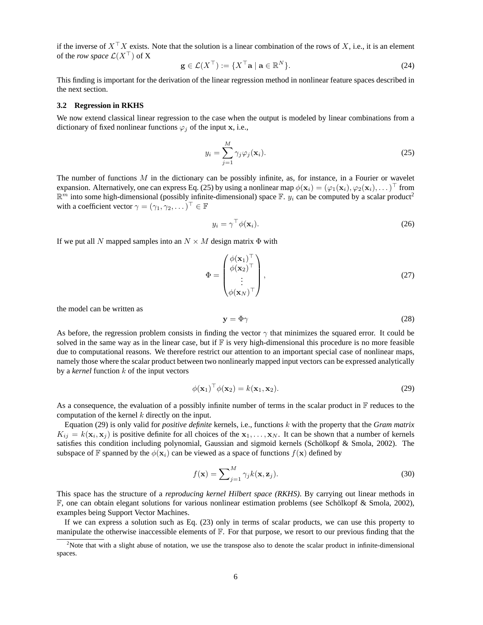if the inverse of  $X^{\top}X$  exists. Note that the solution is a linear combination of the rows of X, i.e., it is an element of the *row space*  $\mathcal{L}(X^{\top})$  of X

$$
\mathbf{g} \in \mathcal{L}(X^{\top}) := \{ X^{\top} \mathbf{a} \mid \mathbf{a} \in \mathbb{R}^{N} \}.
$$
 (24)

This finding is important for the derivation of the linear regression method in nonlinear feature spaces described in the next section.

#### **3.2 Regression in RKHS**

We now extend classical linear regression to the case when the output is modeled by linear combinations from a dictionary of fixed nonlinear functions  $\varphi_i$  of the input x, i.e.,

$$
y_i = \sum_{j=1}^{M} \gamma_j \varphi_j(\mathbf{x}_i).
$$
 (25)

The number of functions  $M$  in the dictionary can be possibly infinite, as, for instance, in a Fourier or wavelet expansion. Alternatively, one can express Eq. (25) by using a nonlinear map  $\phi(\mathbf{x}_i) = (\varphi_1(\mathbf{x}_i), \varphi_2(\mathbf{x}_i), \dots)^\top$  from  $\mathbb{R}^m$  into some high-dimensional (possibly infinite-dimensional) space  $\mathbb{F}$ .  $y_i$  can be computed by a scalar product<sup>2</sup> with a coefficient vector  $\gamma = (\gamma_1, \gamma_2, \dots)^\top \in \mathbb{F}$ 

$$
y_i = \gamma^\top \phi(\mathbf{x}_i). \tag{26}
$$

If we put all N mapped samples into an  $N \times M$  design matrix  $\Phi$  with

$$
\Phi = \begin{pmatrix} \phi(\mathbf{x}_1)^{\top} \\ \phi(\mathbf{x}_2)^{\top} \\ \vdots \\ \phi(\mathbf{x}_N)^{\top} \end{pmatrix},
$$
\n(27)

the model can be written as

$$
y = \Phi \gamma \tag{28}
$$

As before, the regression problem consists in finding the vector  $\gamma$  that minimizes the squared error. It could be solved in the same way as in the linear case, but if  $\mathbb F$  is very high-dimensional this procedure is no more feasible due to computational reasons. We therefore restrict our attention to an important special case of nonlinear maps, namely those where the scalar product between two nonlinearly mapped input vectors can be expressed analytically by a *kernel* function k of the input vectors

$$
\phi(\mathbf{x}_1)^\top \phi(\mathbf{x}_2) = k(\mathbf{x}_1, \mathbf{x}_2). \tag{29}
$$

As a consequence, the evaluation of a possibly infinite number of terms in the scalar product in  $\mathbb F$  reduces to the computation of the kernel  $k$  directly on the input.

Equation (29) is only valid for *positive definite* kernels, i.e., functions k with the property that the *Gram matrix*  $K_{ij} = k(\mathbf{x}_i, \mathbf{x}_j)$  is positive definite for all choices of the  $\mathbf{x}_1, \dots, \mathbf{x}_N$ . It can be shown that a number of kernels satisfies this condition including polynomial, Gaussian and sigmoid kernels (Schölkopf & Smola, 2002). The subspace of F spanned by the  $\phi(\mathbf{x}_i)$  can be viewed as a space of functions  $f(\mathbf{x})$  defined by

$$
f(\mathbf{x}) = \sum_{j=1}^{M} \gamma_j k(\mathbf{x}, \mathbf{z}_j).
$$
 (30)

This space has the structure of a *reproducing kernel Hilbert space (RKHS)*. By carrying out linear methods in  $F$ , one can obtain elegant solutions for various nonlinear estimation problems (see Schölkopf & Smola, 2002), examples being Support Vector Machines.

If we can express a solution such as Eq. (23) only in terms of scalar products, we can use this property to manipulate the otherwise inaccessible elements of F. For that purpose, we resort to our previous finding that the

 $2$ Note that with a slight abuse of notation, we use the transpose also to denote the scalar product in infinite-dimensional spaces.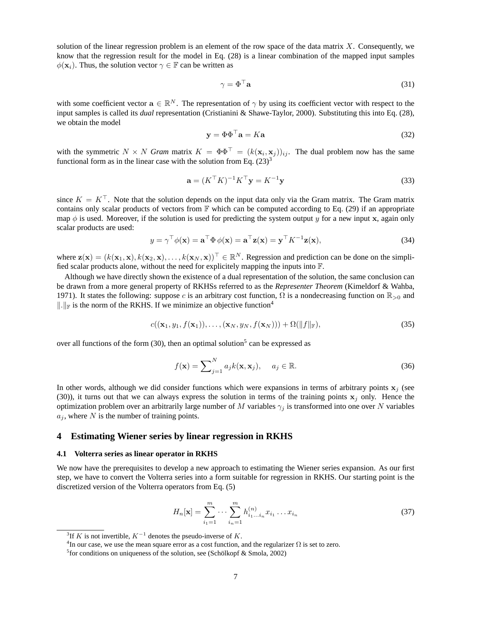solution of the linear regression problem is an element of the row space of the data matrix  $X$ . Consequently, we know that the regression result for the model in Eq. (28) is a linear combination of the mapped input samples  $\phi(\mathbf{x}_i)$ . Thus, the solution vector  $\gamma \in \mathbb{F}$  can be written as

$$
\gamma = \Phi^{\top} \mathbf{a} \tag{31}
$$

with some coefficient vector  $\mathbf{a} \in \mathbb{R}^N$ . The representation of  $\gamma$  by using its coefficient vector with respect to the input samples is called its *dual* representation (Cristianini & Shawe-Taylor, 2000). Substituting this into Eq. (28), we obtain the model

$$
\mathbf{y} = \Phi \Phi^{\top} \mathbf{a} = K \mathbf{a} \tag{32}
$$

with the symmetric  $N \times N$  *Gram* matrix  $K = \Phi \Phi^{\top} = (k(\mathbf{x}_i, \mathbf{x}_j))_{ij}$ . The dual problem now has the same functional form as in the linear case with the solution from Eq.  $(23)^3$ 

$$
\mathbf{a} = (K^{\top} K)^{-1} K^{\top} \mathbf{y} = K^{-1} \mathbf{y}
$$
\n(33)

since  $K = K^{\top}$ . Note that the solution depends on the input data only via the Gram matrix. The Gram matrix contains only scalar products of vectors from  $\mathbb F$  which can be computed according to Eq. (29) if an appropriate map  $\phi$  is used. Moreover, if the solution is used for predicting the system output y for a new input x, again only scalar products are used:

$$
y = \gamma^{\top} \phi(\mathbf{x}) = \mathbf{a}^{\top} \Phi \phi(\mathbf{x}) = \mathbf{a}^{\top} \mathbf{z}(\mathbf{x}) = \mathbf{y}^{\top} K^{-1} \mathbf{z}(\mathbf{x}),
$$
(34)

where  $\mathbf{z}(\mathbf{x}) = (k(\mathbf{x}_1, \mathbf{x}), k(\mathbf{x}_2, \mathbf{x}), \dots, k(\mathbf{x}_N, \mathbf{x}))^\top \in \mathbb{R}^N$ . Regression and prediction can be done on the simplified scalar products alone, without the need for explicitely mapping the inputs into F.

Although we have directly shown the existence of a dual representation of the solution, the same conclusion can be drawn from a more general property of RKHSs referred to as the *Representer Theorem* (Kimeldorf & Wahba, 1971). It states the following: suppose c is an arbitrary cost function, Ω is a nondecreasing function on  $\mathbb{R}_{>0}$  and  $\Vert \cdot \Vert_F$  is the norm of the RKHS. If we minimize an objective function<sup>4</sup>

$$
c((\mathbf{x}_1, y_1, f(\mathbf{x}_1)), \dots, (\mathbf{x}_N, y_N, f(\mathbf{x}_N))) + \Omega(||f||_{\mathbb{F}}),
$$
\n(35)

over all functions of the form  $(30)$ , then an optimal solution<sup>5</sup> can be expressed as

$$
f(\mathbf{x}) = \sum_{j=1}^{N} a_j k(\mathbf{x}, \mathbf{x}_j), \quad a_j \in \mathbb{R}.
$$
 (36)

In other words, although we did consider functions which were expansions in terms of arbitrary points  $x_i$  (see (30)), it turns out that we can always express the solution in terms of the training points  $x_i$  only. Hence the optimization problem over an arbitrarily large number of M variables  $\gamma_i$  is transformed into one over N variables  $a_j$ , where N is the number of training points.

## **4 Estimating Wiener series by linear regression in RKHS**

#### **4.1 Volterra series as linear operator in RKHS**

We now have the prerequisites to develop a new approach to estimating the Wiener series expansion. As our first step, we have to convert the Volterra series into a form suitable for regression in RKHS. Our starting point is the discretized version of the Volterra operators from Eq. (5)

$$
H_n[\mathbf{x}] = \sum_{i_1=1}^m \cdots \sum_{i_n=1}^m h_{i_1...i_n}^{(n)} x_{i_1} \dots x_{i_n}
$$
 (37)

<sup>&</sup>lt;sup>3</sup>If K is not invertible,  $K^{-1}$  denotes the pseudo-inverse of K.

<sup>&</sup>lt;sup>4</sup>In our case, we use the mean square error as a cost function, and the regularizer  $\Omega$  is set to zero.

<sup>&</sup>lt;sup>5</sup> for conditions on uniqueness of the solution, see (Schölkopf & Smola, 2002)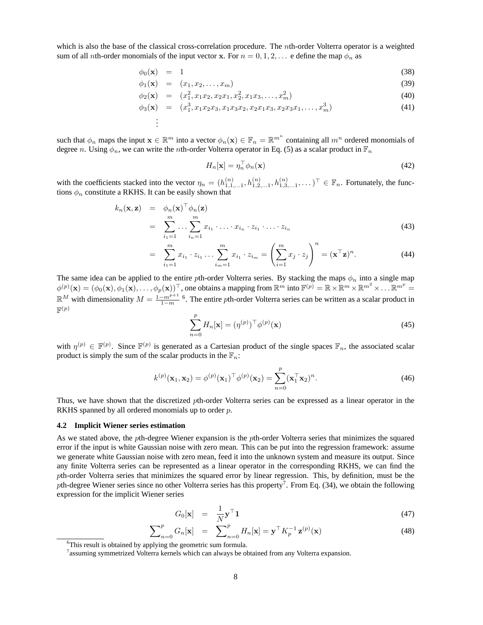which is also the base of the classical cross-correlation procedure. The nth-order Volterra operator is a weighted sum of all *n*th-order monomials of the input vector x. For  $n = 0, 1, 2, \ldots$  e define the map  $\phi_n$  as

$$
\phi_0(\mathbf{x}) = 1 \tag{38}
$$

$$
\phi_1(\mathbf{x}) = (x_1, x_2, \dots, x_m) \tag{39}
$$

$$
\phi_2(\mathbf{x}) = (x_1^2, x_1 x_2, x_2 x_1, x_2^2, x_1 x_3, \dots, x_m^2) \tag{40}
$$

$$
\phi_3(\mathbf{x}) = (x_1^3, x_1 x_2 x_3, x_1 x_3 x_2, x_2 x_1 x_3, x_2 x_3 x_1, \dots, x_m^3)
$$
\n(41)

such that  $\phi_n$  maps the input  $\mathbf{x} \in \mathbb{R}^m$  into a vector  $\phi_n(\mathbf{x}) \in \mathbb{F}_n = \mathbb{R}^{m^n}$  containing all  $m^n$  ordered monomials of degree n. Using  $\phi_n$ , we can write the nth-order Volterra operator in Eq. (5) as a scalar product in  $\mathbb{F}_n$ 

. . .

$$
H_n[\mathbf{x}] = \eta_n^\top \phi_n(\mathbf{x}) \tag{42}
$$

with the coefficients stacked into the vector  $\eta_n = (h_{1,1,\dots,1}^{(n)}, h_{1,2,\dots,1}^{(n)}, h_{1,3,\dots,1}^{(n)}, \dots)^\top \in \mathbb{F}_n$ . Fortunately, the functions  $\phi_n$  constitute a RKHS. It can be easily shown that

$$
k_n(\mathbf{x}, \mathbf{z}) = \phi_n(\mathbf{x})^\top \phi_n(\mathbf{z})
$$
  
= 
$$
\sum_{i_1=1}^m \dots \sum_{i_n=1}^m x_{i_1} \cdot \dots \cdot x_{i_n} \cdot z_{i_1} \cdot \dots \cdot z_{i_n}
$$
 (43)

$$
= \sum_{i_1=1}^m x_{i_1} \cdot z_{i_1} \dots \sum_{i_m=1}^m x_{i_1} \cdot z_{i_m} = \left(\sum_{i=1}^m x_i \cdot z_i\right)^n = (\mathbf{x}^\top \mathbf{z})^n.
$$
 (44)

The same idea can be applied to the entire pth-order Volterra series. By stacking the maps  $\phi_n$  into a single map  $\phi^{(p)}(\mathbf{x}) = (\phi_0(\mathbf{x}), \phi_1(\mathbf{x}), \dots, \phi_p(\mathbf{x}))^{\top}$ , one obtains a mapping from  $\mathbb{R}^m$  into  $\mathbb{F}^{(p)} = \mathbb{R} \times \mathbb{R}^m \times \mathbb{R}^{m^2} \times \dots \mathbb{R}^{m^p} =$  $\mathbb{R}^M$  with dimensionality  $M = \frac{1 - m^{p+1}}{1 - m}$  <sup>6</sup>. The entire pth-order Volterra series can be written as a scalar product in  $\mathbb{F}^{(p)}$ 

$$
\sum_{n=0}^{p} H_n[\mathbf{x}] = (\eta^{(p)})^{\top} \phi^{(p)}(\mathbf{x})
$$
\n(45)

with  $\eta^{(p)} \in \mathbb{F}^{(p)}$ . Since  $\mathbb{F}^{(p)}$  is generated as a Cartesian product of the single spaces  $\mathbb{F}_n$ , the associated scalar product is simply the sum of the scalar products in the  $\mathbb{F}_n$ :

$$
k^{(p)}(\mathbf{x}_1, \mathbf{x}_2) = \phi^{(p)}(\mathbf{x}_1)^\top \phi^{(p)}(\mathbf{x}_2) = \sum_{n=0}^p (\mathbf{x}_1^\top \mathbf{x}_2)^n.
$$
 (46)

Thus, we have shown that the discretized pth-order Volterra series can be expressed as a linear operator in the RKHS spanned by all ordered monomials up to order p.

#### **4.2 Implicit Wiener series estimation**

As we stated above, the pth-degree Wiener expansion is the pth-order Volterra series that minimizes the squared error if the input is white Gaussian noise with zero mean. This can be put into the regression framework: assume we generate white Gaussian noise with zero mean, feed it into the unknown system and measure its output. Since any finite Volterra series can be represented as a linear operator in the corresponding RKHS, we can find the pth-order Volterra series that minimizes the squared error by linear regression. This, by definition, must be the pth-degree Wiener series since no other Volterra series has this property<sup>7</sup>. From Eq. (34), we obtain the following expression for the implicit Wiener series

$$
G_0[\mathbf{x}] = \frac{1}{N} \mathbf{y}^\top \mathbf{1} \tag{47}
$$

$$
\sum_{n=0}^{p} G_n[\mathbf{x}] = \sum_{n=0}^{p} H_n[\mathbf{x}] = \mathbf{y}^\top K_p^{-1} \mathbf{z}^{(p)}(\mathbf{x}) \tag{48}
$$

<sup>&</sup>lt;sup>6</sup>This result is obtained by applying the geometric sum formula.

 $^7$ assuming symmetrized Volterra kernels which can always be obtained from any Volterra expansion.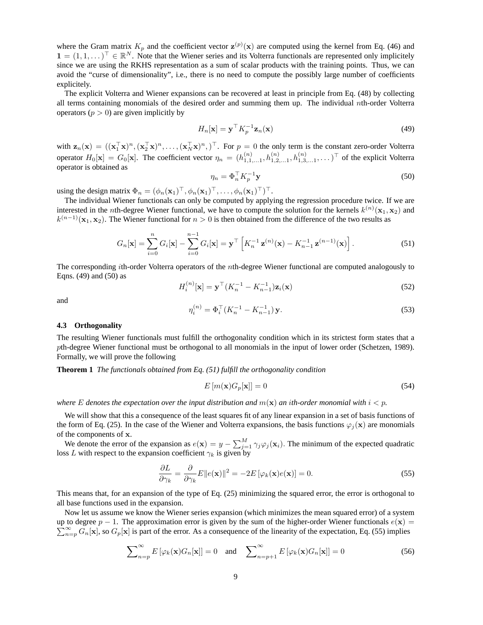where the Gram matrix  $K_p$  and the coefficient vector  $\mathbf{z}^{(p)}(\mathbf{x})$  are computed using the kernel from Eq. (46) and  $\mathbf{1} = (1, 1, \dots)^\top \in \mathbb{R}^N$ . Note that the Wiener series and its Volterra functionals are represented only implicitely since we are using the RKHS representation as a sum of scalar products with the training points. Thus, we can avoid the "curse of dimensionality", i.e., there is no need to compute the possibly large number of coefficients explicitely.

The explicit Volterra and Wiener expansions can be recovered at least in principle from Eq. (48) by collecting all terms containing monomials of the desired order and summing them up. The individual nth-order Volterra operators  $(p > 0)$  are given implicitly by

$$
H_n[\mathbf{x}] = \mathbf{y}^\top K_p^{-1} \mathbf{z}_n(\mathbf{x}) \tag{49}
$$

with  $\mathbf{z}_n(\mathbf{x}) = ((\mathbf{x}_1^\top \mathbf{x})^n, (\mathbf{x}_2^\top \mathbf{x})^n, \dots, (\mathbf{x}_N^\top \mathbf{x})^n, )^\top$ . For  $p = 0$  the only term is the constant zero-order Volterra operator  $H_0[\mathbf{x}] = G_0[\mathbf{x}]$ . The coefficient vector  $\eta_n = (h_{1,1,\dots,1}^{(n)}, h_{1,2,\dots,1}^{(n)}, h_{1,3,\dots,1}^{(n)}, \dots)^\top$  of the explicit Volterra operator is obtained as

$$
\eta_n = \Phi_n^\top K_p^{-1} \mathbf{y} \tag{50}
$$

using the design matrix  $\Phi_n = (\phi_n(\mathbf{x}_1)^{\top}, \phi_n(\mathbf{x}_1)^{\top}, \dots, \phi_n(\mathbf{x}_1)^{\top})^{\top}$ .

The individual Wiener functionals can only be computed by applying the regression procedure twice. If we are interested in the *n*th-degree Wiener functional, we have to compute the solution for the kernels  $k^{(n)}(\mathbf{x}_1, \mathbf{x}_2)$  and  $k^{(n-1)}(\mathbf{x}_1, \mathbf{x}_2)$ . The Wiener functional for  $n > 0$  is then obtained from the difference of the two results as

$$
G_n[\mathbf{x}] = \sum_{i=0}^n G_i[\mathbf{x}] - \sum_{i=0}^{n-1} G_i[\mathbf{x}] = \mathbf{y}^\top \left[ K_n^{-1} \mathbf{z}^{(n)}(\mathbf{x}) - K_{n-1}^{-1} \mathbf{z}^{(n-1)}(\mathbf{x}) \right].
$$
 (51)

The corresponding ith-order Volterra operators of the nth-degree Wiener functional are computed analogously to Eqns. (49) and (50) as

$$
H_i^{(n)}[\mathbf{x}] = \mathbf{y}^\top (K_n^{-1} - K_{n-1}^{-1}) \mathbf{z}_i(\mathbf{x})
$$
\n(52)

and

$$
\eta_i^{(n)} = \Phi_i^{\top} (K_n^{-1} - K_{n-1}^{-1}) \mathbf{y}.
$$
\n(53)

#### **4.3 Orthogonality**

The resulting Wiener functionals must fulfill the orthogonality condition which in its strictest form states that a pth-degree Wiener functional must be orthogonal to all monomials in the input of lower order (Schetzen, 1989). Formally, we will prove the following

**Theorem 1** *The functionals obtained from Eq. (51) fulfill the orthogonality condition*

$$
E\left[m(\mathbf{x})G_p[\mathbf{x}]\right] = 0\tag{54}
$$

*where* E denotes the expectation over the input distribution and  $m(\mathbf{x})$  an ith-order monomial with  $i < p$ .

We will show that this a consequence of the least squares fit of any linear expansion in a set of basis functions of the form of Eq. (25). In the case of the Wiener and Volterra expansions, the basis functions  $\varphi_i(\mathbf{x})$  are monomials of the components of x.

We denote the error of the expansion as  $e(\mathbf{x}) = y - \sum_{j=1}^{M} \gamma_j \varphi_j(\mathbf{x}_i)$ . The minimum of the expected quadratic loss L with respect to the expansion coefficient  $\gamma_k$  is given by

$$
\frac{\partial L}{\partial \gamma_k} = \frac{\partial}{\partial \gamma_k} E \|e(\mathbf{x})\|^2 = -2E \left[\varphi_k(\mathbf{x})e(\mathbf{x})\right] = 0.
$$
\n(55)

This means that, for an expansion of the type of Eq. (25) minimizing the squared error, the error is orthogonal to all base functions used in the expansion.

Now let us assume we know the Wiener series expansion (which minimizes the mean squared error) of a system up to degree  $p-1$ . The approximation error is given by the sum of the higher-order Wiener functionals  $e(\mathbf{x}) =$  $\sum_{n=p}^{\infty} G_n[\mathbf{x}]$ , so  $G_p[\mathbf{x}]$  is part of the error. As a consequence of the linearity of the expectation, Eq. (55) implies

$$
\sum_{n=p}^{\infty} E\left[\varphi_k(\mathbf{x}) G_n[\mathbf{x}]\right] = 0 \quad \text{and} \quad \sum_{n=p+1}^{\infty} E\left[\varphi_k(\mathbf{x}) G_n[\mathbf{x}]\right] = 0 \tag{56}
$$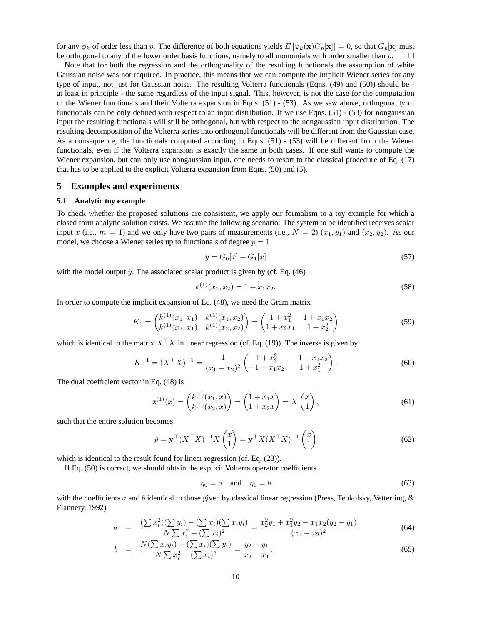for any  $\phi_k$  of order less than p. The difference of both equations yields  $E[\varphi_k(\mathbf{x})G_p[\mathbf{x}]] = 0$ , so that  $G_p[\mathbf{x}]$  must be orthogonal to any of the lower order basis functions, namely to all monomials with order smaller than  $p$ .  $\square$ 

Note that for both the regression and the orthogonality of the resulting functionals the assumption of white Gaussian noise was not required. In practice, this means that we can compute the implicit Wiener series for any type of input, not just for Gaussian noise. The resulting Volterra functionals (Eqns. (49) and (50)) should be at least in principle - the same regardless of the input signal. This, however, is not the case for the computation of the Wiener functionals and their Volterra expansion in Eqns. (51) - (53). As we saw above, orthogonality of functionals can be only defined with respect to an input distribution. If we use Eqns. (51) - (53) for nongaussian input the resulting functionals will still be orthogonal, but with respect to the nongaussian input distribution. The resulting decomposition of the Volterra series into orthogonal functionals will be different from the Gaussian case. As a consequence, the functionals computed according to Eqns. (51) - (53) will be different from the Wiener functionals, even if the Volterra expansion is exactly the same in both cases. If one still wants to compute the Wiener expansion, but can only use nongaussian input, one needs to resort to the classical procedure of Eq. (17) that has to be applied to the explicit Volterra expansion from Eqns. (50) and (5).

## **5 Examples and experiments**

## **5.1 Analytic toy example**

To check whether the proposed solutions are consistent, we apply our formalism to a toy example for which a closed form analytic solution exists. We assume the following scenario: The system to be identified receives scalar input x (i.e.,  $m = 1$ ) and we only have two pairs of measurements (i.e.,  $N = 2$ )  $(x_1, y_1)$  and  $(x_2, y_2)$ . As our model, we choose a Wiener series up to functionals of degree  $p = 1$ 

$$
\hat{y} = G_0[x] + G_1[x] \tag{57}
$$

with the model output  $\hat{y}$ . The associated scalar product is given by (cf. Eq. (46)

$$
k^{(1)}(x_1, x_2) = 1 + x_1 x_2. \tag{58}
$$

In order to compute the implicit expansion of Eq. (48), we need the Gram matrix

$$
K_1 = \begin{pmatrix} k^{(1)}(x_1, x_1) & k^{(1)}(x_1, x_2) \\ k^{(1)}(x_2, x_1) & k^{(1)}(x_2, x_2) \end{pmatrix} = \begin{pmatrix} 1 + x_1^2 & 1 + x_1 x_2 \\ 1 + x_2 x_1 & 1 + x_2^2 \end{pmatrix} \tag{59}
$$

which is identical to the matrix  $X^{\top} X$  in linear regression (cf. Eq. (19)). The inverse is given by

$$
K_1^{-1} = (X^{\top} X)^{-1} = \frac{1}{(x_1 - x_2)^2} \begin{pmatrix} 1 + x_2^2 & -1 - x_1 x_2 \\ -1 - x_1 x_2 & 1 + x_1^2 \end{pmatrix}.
$$
 (60)

The dual coefficient vector in Eq. (48) is

$$
\mathbf{z}^{(1)}(x) = \begin{pmatrix} k^{(1)}(x_1, x) \\ k^{(1)}(x_2, x) \end{pmatrix} = \begin{pmatrix} 1 + x_1 x \\ 1 + x_2 x \end{pmatrix} = X \begin{pmatrix} x \\ 1 \end{pmatrix},\tag{61}
$$

such that the entire solution becomes

$$
\hat{y} = \mathbf{y}^\top (X^\top X)^{-1} X \begin{pmatrix} x \\ 1 \end{pmatrix} = \mathbf{y}^\top X (X^\top X)^{-1} \begin{pmatrix} x \\ 1 \end{pmatrix}
$$
 (62)

which is identical to the result found for linear regression (cf. Eq.  $(23)$ ).

If Eq. (50) is correct, we should obtain the explicit Volterra operator coefficients

$$
\eta_0 = a \quad \text{and} \quad \eta_1 = b \tag{63}
$$

with the coefficients a and b identical to those given by classical linear regression (Press, Teukolsky, Vetterling,  $\&$ Flannery, 1992)

$$
a = \frac{\left(\sum x_i^2\right)\left(\sum y_i\right) - \left(\sum x_i\right)\left(\sum x_i y_i\right)}{N \sum x_i^2 - \left(\sum x_i\right)^2} = \frac{x_2^2 y_1 + x_1^2 y_2 - x_1 x_2 (y_2 - y_1)}{(x_1 - x_2)^2}
$$
(64)

$$
b = \frac{N(\sum x_i y_i) - (\sum x_i)(\sum y_i)}{N \sum x_i^2 - (\sum x_i)^2} = \frac{y_2 - y_1}{x_2 - x_1}.
$$
\n(65)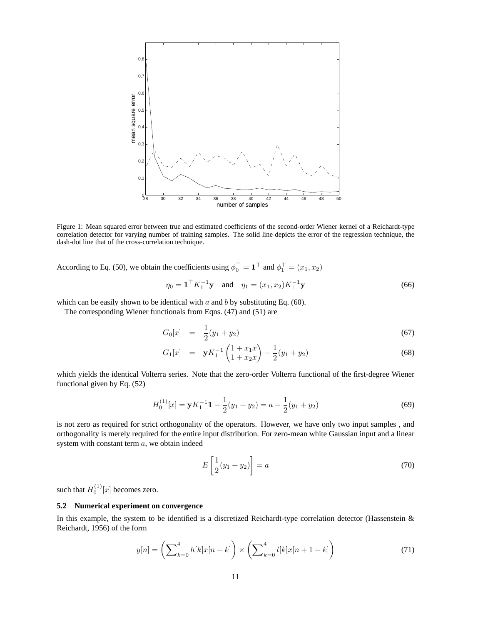

Figure 1: Mean squared error between true and estimated coefficients of the second-order Wiener kernel of a Reichardt-type correlation detector for varying number of training samples. The solid line depicts the error of the regression technique, the dash-dot line that of the cross-correlation technique.

According to Eq. (50), we obtain the coefficients using  $\phi_0^{\top} = \mathbf{1}^{\top}$  and  $\phi_1^{\top} = (x_1, x_2)$ 

$$
\eta_0 = \mathbf{1}^\top K_1^{-1} \mathbf{y} \quad \text{and} \quad \eta_1 = (x_1, x_2) K_1^{-1} \mathbf{y} \tag{66}
$$

which can be easily shown to be identical with  $a$  and  $b$  by substituting Eq. (60).

The corresponding Wiener functionals from Eqns. (47) and (51) are

$$
G_0[x] = \frac{1}{2}(y_1 + y_2) \tag{67}
$$

$$
G_1[x] = \mathbf{y} K_1^{-1} \begin{pmatrix} 1 + x_1 x \\ 1 + x_2 x \end{pmatrix} - \frac{1}{2} (y_1 + y_2)
$$
 (68)

which yields the identical Volterra series. Note that the zero-order Volterra functional of the first-degree Wiener functional given by Eq. (52)

$$
H_0^{(1)}[x] = \mathbf{y}K_1^{-1}\mathbf{1} - \frac{1}{2}(y_1 + y_2) = a - \frac{1}{2}(y_1 + y_2)
$$
\n(69)

is not zero as required for strict orthogonality of the operators. However, we have only two input samples , and orthogonality is merely required for the entire input distribution. For zero-mean white Gaussian input and a linear system with constant term a, we obtain indeed

$$
E\left[\frac{1}{2}(y_1+y_2)\right] = a\tag{70}
$$

such that  $H_0^{(1)}[x]$  becomes zero.

### **5.2 Numerical experiment on convergence**

In this example, the system to be identified is a discretized Reichardt-type correlation detector (Hassenstein  $\&$ Reichardt, 1956) of the form

$$
y[n] = \left(\sum_{k=0}^{4} h[k]x[n-k]\right) \times \left(\sum_{k=0}^{4} l[k]x[n+1-k]\right)
$$
 (71)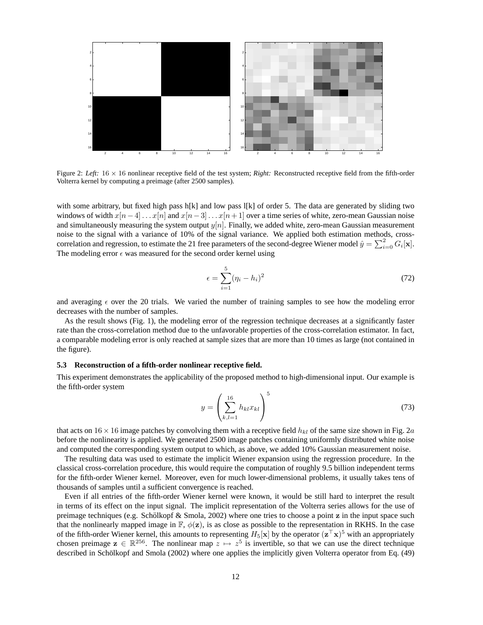

Figure 2: *Left*:  $16 \times 16$  nonlinear receptive field of the test system; *Right:* Reconstructed receptive field from the fifth-order Volterra kernel by computing a preimage (after 2500 samples).

with some arbitrary, but fixed high pass h[k] and low pass l[k] of order 5. The data are generated by sliding two windows of width  $x[n-4] \dots x[n]$  and  $x[n-3] \dots x[n+1]$  over a time series of white, zero-mean Gaussian noise and simultaneously measuring the system output  $y[n]$ . Finally, we added white, zero-mean Gaussian measurement noise to the signal with a variance of 10% of the signal variance. We applied both estimation methods, crosscorrelation and regression, to estimate the 21 free parameters of the second-degree Wiener model  $\hat{y} = \sum_{i=0}^{2} G_i[x]$ . The modeling error  $\epsilon$  was measured for the second order kernel using

$$
\epsilon = \sum_{i=1}^{5} (\eta_i - h_i)^2 \tag{72}
$$

and averaging  $\epsilon$  over the 20 trials. We varied the number of training samples to see how the modeling error decreases with the number of samples.

As the result shows (Fig. 1), the modeling error of the regression technique decreases at a significantly faster rate than the cross-correlation method due to the unfavorable properties of the cross-correlation estimator. In fact, a comparable modeling error is only reached at sample sizes that are more than 10 times as large (not contained in the figure).

#### **5.3 Reconstruction of a fifth-order nonlinear receptive field.**

This experiment demonstrates the applicability of the proposed method to high-dimensional input. Our example is the fifth-order system

$$
y = \left(\sum_{k,l=1}^{16} h_{kl} x_{kl}\right)^5
$$
 (73)

that acts on  $16 \times 16$  image patches by convolving them with a receptive field  $h_{kl}$  of the same size shown in Fig. 2a before the nonlinearity is applied. We generated 2500 image patches containing uniformly distributed white noise and computed the corresponding system output to which, as above, we added 10% Gaussian measurement noise.

The resulting data was used to estimate the implicit Wiener expansion using the regression procedure. In the classical cross-correlation procedure, this would require the computation of roughly 9.5 billion independent terms for the fifth-order Wiener kernel. Moreover, even for much lower-dimensional problems, it usually takes tens of thousands of samples until a sufficient convergence is reached.

Even if all entries of the fifth-order Wiener kernel were known, it would be still hard to interpret the result in terms of its effect on the input signal. The implicit representation of the Volterra series allows for the use of preimage techniques (e.g. Schölkopf  $\&$  Smola, 2002) where one tries to choose a point  $\mathbf z$  in the input space such that the nonlinearly mapped image in  $\mathbb{F}$ ,  $\phi(z)$ , is as close as possible to the representation in RKHS. In the case of the fifth-order Wiener kernel, this amounts to representing  $H_5[x]$  by the operator  $(z^{\top}x)^5$  with an appropriately chosen preimage  $z \in \mathbb{R}^{256}$ . The nonlinear map  $z \mapsto z^5$  is invertible, so that we can use the direct technique described in Schölkopf and Smola (2002) where one applies the implicitly given Volterra operator from Eq. (49)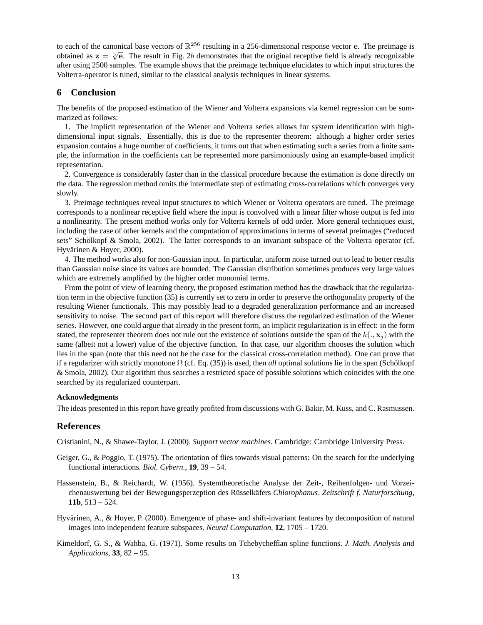to each of the canonical base vectors of  $\mathbb{R}^{256}$  resulting in a 256-dimensional response vector e. The preimage is to each of the canonical base vectors of  $\mathbb{R}$  resulting in a 250-dimensional response vector e. The premage is obtained as  $z = \sqrt[5]{e}$ . The result in Fig. 2b demonstrates that the original receptive field is already r after using 2500 samples. The example shows that the preimage technique elucidates to which input structures the Volterra-operator is tuned, similar to the classical analysis techniques in linear systems.

## **6 Conclusion**

The benefits of the proposed estimation of the Wiener and Volterra expansions via kernel regression can be summarized as follows:

1. The implicit representation of the Wiener and Volterra series allows for system identification with highdimensional input signals. Essentially, this is due to the representer theorem: although a higher order series expansion contains a huge number of coefficients, it turns out that when estimating such a series from a finite sample, the information in the coefficients can be represented more parsimoniously using an example-based implicit representation.

2. Convergence is considerably faster than in the classical procedure because the estimation is done directly on the data. The regression method omits the intermediate step of estimating cross-correlations which converges very slowly.

3. Preimage techniques reveal input structures to which Wiener or Volterra operators are tuned. The preimage corresponds to a nonlinear receptive field where the input is convolved with a linear filter whose output is fed into a nonlinearity. The present method works only for Volterra kernels of odd order. More general techniques exist, including the case of other kernels and the computation of approximations in terms of several preimages ("reduced sets" Schölkopf & Smola, 2002). The latter corresponds to an invariant subspace of the Volterra operator (cf. Hyvärinen & Hoyer, 2000).

4. The method works also for non-Gaussian input. In particular, uniform noise turned out to lead to better results than Gaussian noise since its values are bounded. The Gaussian distribution sometimes produces very large values which are extremely amplified by the higher order monomial terms.

From the point of view of learning theory, the proposed estimation method has the drawback that the regularization term in the objective function (35) is currently set to zero in order to preserve the orthogonality property of the resulting Wiener functionals. This may possibly lead to a degraded generalization performance and an increased sensitivity to noise. The second part of this report will therefore discuss the regularized estimation of the Wiener series. However, one could argue that already in the present form, an implicit regularization is in effect: in the form stated, the representer theorem does not rule out the existence of solutions outside the span of the  $k(.,\mathbf{x}_i)$  with the same (albeit not a lower) value of the objective function. In that case, our algorithm chooses the solution which lies in the span (note that this need not be the case for the classical cross-correlation method). One can prove that if a regularizer with strictly monotone  $\Omega$  (cf. Eq. (35)) is used, then *all* optimal solutions lie in the span (Schölkopf & Smola, 2002). Our algorithm thus searches a restricted space of possible solutions which coincides with the one searched by its regularized counterpart.

#### **Acknowledgments**

The ideas presented in this report have greatly profited from discussions with G. Bakır, M. Kuss, and C. Rasmussen.

#### **References**

Cristianini, N., & Shawe-Taylor, J. (2000). *Support vector machines*. Cambridge: Cambridge University Press.

- Geiger, G., & Poggio, T. (1975). The orientation of flies towards visual patterns: On the search for the underlying functional interactions. *Biol. Cybern.*, **19**, 39 – 54.
- Hassenstein, B., & Reichardt, W. (1956). Systemtheoretische Analyse der Zeit-, Reihenfolgen- und Vorzeichenauswertung bei der Bewegungsperzeption des Rüsselkäfers Chlorophanus. Zeitschrift f. Naturforschung, **11b**, 513 – 524.
- Hyvärinen, A., & Hoyer, P. (2000). Emergence of phase- and shift-invariant features by decomposition of natural images into independent feature subspaces. *Neural Computation*, **12**, 1705 – 1720.
- Kimeldorf, G. S., & Wahba, G. (1971). Some results on Tchebycheffian spline functions. *J. Math. Analysis and Applications*, **33**, 82 – 95.